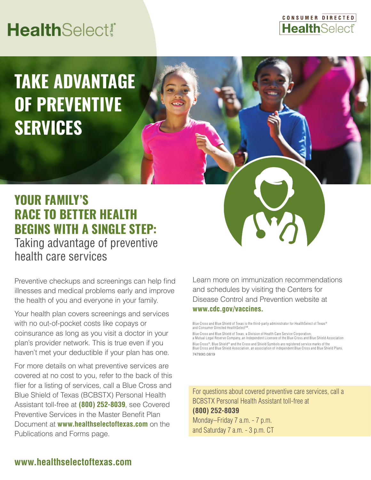# **HealthSelect®**



# **TAKE ADVANTAGE OF PREVENTIVE SERVICES**

## **YOUR FAMILY'S RACE TO BETTER HEALTH BEGINS WITH A SINGLE STEP:** Taking advantage of preventive health care services

Preventive checkups and screenings can help find illnesses and medical problems early and improve the health of you and everyone in your family.

Your health plan covers screenings and services with no out-of-pocket costs like copays or coinsurance as long as you visit a doctor in your plan's provider network. This is true even if you haven't met your deductible if your plan has one.

For more details on what preventive services are covered at no cost to you, refer to the back of this flier for a listing of services, call a Blue Cross and Blue Shield of Texas (BCBSTX) Personal Health Assistant toll-free at **(800) 252-8039**, see Covered Preventive Services in the Master Benefit Plan Document at **www.healthselectoftexas.com** on the Publications and Forms page.

Learn more on immunization recommendations and schedules by visiting the Centers for Disease Control and Prevention website at **www.cdc.gov/vaccines.**

Blue Cross and Blue Shield of Texas is the third-party administrator for HealthSelect of Texas® and Consumer Directed HealthSelect<sup>sM</sup>

Blue Cross and Blue Shield of Texas, a Division of Health Care Service Corporation, a Mutual Legal Reserve Company, an Independent Licensee of the Blue Cross and Blue Shield Association Blue Cross®, Blue Shield® and the Cross and Shield Symbols are registered service marks of the Blue Cross and Blue Shield Association, an association of independent Blue Cross and Blue Shield Plans. 747890.0819

For questions about covered preventive care services, call a BCBSTX Personal Health Assistant toll-free at **(800) 252-8039** Monday–Friday 7 a.m. - 7 p.m. and Saturday 7 a.m. - 3 p.m. CT

## **www.healthselectoftexas.com**